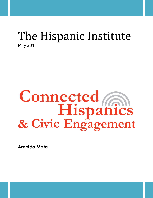# The Hispanic Institute May 2011

# Connected<br>Hispanics<br>& Civic Engagement

**Arnoldo Mata**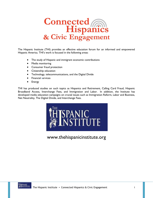

The Hispanic Institute (THI) provides an effective education forum for an informed and empowered Hispanic America. THI's work is focused in the following areas:

- The study of Hispanic and immigrant economic contributions
- Media monitoring
- Consumer fraud protection
- Citizenship education
- Technology, telecommunications, and the Digital Divide
- **•** Financial services
- Energy

THI has produced studies on such topics as Hispanics and Retirement, Calling Card Fraud, Hispanic Broadband Access, Interchange Fees, and Immigration and Labor. In addition, the Institute has developed media education campaigns on crucial issues such as Immigration Reform, Labor and Business, Net Neutrality, The Digital Divide, and Interchange Fees.



www.thehispanicinstitute.org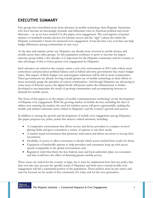# **EXECUTIVE SUMMARY**

Few groups have benefitted more from advances in mobile technology than Hispanic Americans, who have become an increasingly dynamic and influential voice in American political and social discourse – or, as we have termed it in this paper, civic engagement. The convergence of greater reliance on handheld wireless devices for Internet access and the "app" culture fits within the Hispanic community's future for increased civic engagement. It has become a key tool that can help bridge differences among communities in new ways.

As the data and statistics point out, Hispanics are already more invested in mobile devices and mobile access than other groups. As this population continues to grow to become the largest minority group within a few decades, it is important for the Hispanic community and the country to take advantage of this to foster greater civic engagement by Hispanics.

Such advances are critical as the country enters a new civic environment in 2012 with a likely more contentious and precarious political balance and as federal and state governments face major budget crises. The impact of likely budget cuts and program reductions will be felt in more communities. These governments are already moving toward greater use of mobile technology in their efforts to more accurately gauge the priorities of various communities. And though Hispanics are advancing in some areas of Internet access, the digital divide will persist unless the infrastructure is further developed to accommodate the needs of growing communities and accompanying increase in demand for mobile access.

The focus of this paper is on the impact of mobile communications technology on the development of Hispanic civic engagement. With the growing market of mobile devices, including the slew of tablets now entering the market, the need for wireless access will grow exponentially, making the mobile and wireless industries more critical to Hispanics' and the country's growth and success.

In addition to tracing the growth and development of mobile civic engagement among Hispanics, this paper proposes key policy points that deserve critical attention, including:

- A competitive environment that allows service and device providers to compete on level playing fields and gives consumers a variety of options to suit their needs;
- A market-based environment that promotes innovation and allows investors to recoup their investment;
- Flexibility of access to allow consumers to decide which access method best works for them;
- Expansion of bandwidth options to help providers and consumers keep up with access speeds comparable to the global environment; and,
- Regulatory relief that limits the fees federal, state and local authorities place on consumers and that could have the effect of deterring greater mobile access;

These issues are critical for the country at large, but it must be emphasized here that any policy that does not take into account the specific needs of Hispanics and their move toward mobile civic engagement will fail a substantial portion of the population. These policies must be pro-active and must be focused on the needs of this community for today and for the next generation.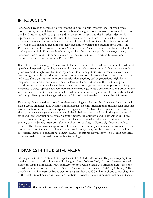# **INTRODUCTION**

Americans have long gathered on front stoops in cities, on rural front porches, at small-town grocery stores, in church basements or in neighbors' living rooms to discuss the news and issues of the day. Freedom to talk, to organize and to take action is central to the American identity. It represents civic engagement at the most fundamental level, and it has been crucial to the nation's development as a strong and vibrant democracy. In fact, freedom of speech and expression led the list – which also included freedom from fear, freedom to worship and freedom from want – in President Franklin D. Roosevelt's famous "Four Freedoms" speech, delivered as his annual address to Congress in 1941. That speech, of course, inspired the iconic image of an earnest, ordinary American man speaking his mind at a town hall meeting, painted by Norman Rockwell and published by the Saturday Evening Post in 1943.

Regardless of national origin, Americans of all ethnicities have cherished the tradition of freedom of speech and expression, and they have used it advance their interests and to influence the nation's priorities. And though town hall meetings and chats with neighbors remain essential elements of civic engagement, the introduction of new communications technologies has changed its character and pace. Today, it is faster and more expansive than anything earlier generations might have imagined. The Internet, social media such as Facebook and Twitter, and the traditional print, broadcast and cable outlets have enlarged the capacity for large numbers of people to be quickly mobilized. Today, sophisticated communications technology, notably smartphones and other mobile wireless devices, is in the hands of people to whom it was previously unavailable. Formerly isolated and marginalized groups have gained a powerful – and much needed – voice in the civic arena.

Few groups have benefitted more from these technological advances than Hispanic Americans, who have become an increasingly dynamic and influential voice in American political and social discourse – or, as we have termed it in this paper, civic engagement. The bases for Hispanic informationsharing and civic engagement are not new. Indeed, their roots can be found in the great plazas of cities and towns throughout Mexico, Central America, the Caribbean and South America. Those grand spaces have long been where people of all ages and social standing meet and mingle in the evening or on a Sunday afternoon. They are places to socialize, to discuss big ideas or simply to observe. The plazas provide a space to build a sense of community and to establish connections that traveled with immigrants to the United States. And though the great plazas have been left behind, the cultural impulse to connect has remained, and – as this report will show – it has been amplified by increasingly sophisticated use of mobile technology.

# **HISPANICS IN THE DIGITAL ARENA**

Although the more than 48 million Hispanics in the United States were initially slow to jump into the digital arena, that situation is rapidly changing. From 2004 to 2008, Hispanic Internet users with home broadband connections grew from 28% to 68%, while overall U.S. Internet users with home broadband connections grew from 31% to 71% (Scarborough Research, 2009). By February 2009, the Hispanic online presence had grown to its highest level, at 20.3 million visitors, comprising 11% of the total U.S. online market (based on numbers of website visitors, time spent online and pages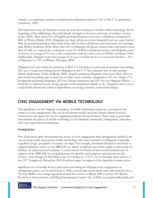visited) – an impressive statistic considering that Hispanics represent 15% of the U. S. population (comScore, 2009).

The important story for Hispanics, however, is in their embrace of mobile online technology. By the beginning of the millennium, they had already emerged as the most avid users of wireless services (Lebo, 2003). More than 87% of English-speaking Hispanics now own a cell phone, compared to 80% of Whites (Smith, 2010). Hispanics use their cell phones more frequently and use more features than the general population; they make more calls on their cell phones and send more text messages than Whites (Lenhard, 2010). More than 14% of Hispanic cell phone owners make and receive more than 30 calls on a typical day, compared to just 4% of White cell phone owners, and Hispanics send or receive an average of 10 texts a day, compared to just five texts a day for Whites (Lenhard, 2010). Additionally, Hispanics lead other groups in the use of mobile devices to access the Internet – 53% of Hispanics vs. 33% of Whites (Horrigan, 2009).

Hispanics have also made the transition to Web 2.0, focusing on social and information networking. The use of social networking sites by Hispanics in the U. S. has outpaced that of other groups (Smith, Schlozman, Verba, & Brady, 2009). English-preferring Hispanics were most likely (36%) to visit social-networking sites at least two to three times a month, compared to 34% for Asians, 27% for Spanish-preferring Hispanics, 26% for African Americans and 18% for non-Hispanic Whites – a trend that is reflected across all ages groups of the population (Smith, et al.). Hispanics' heavy use of social media mirrors the culture's dependence on strong, extensive social relationships.

# **CIVIC ENGAGEMENT VIA MOBILE TECHNOLOGY**

The significance of the Hispanic acceptance of mobile technology cannot be overstated in the context of civic engagement. The use of cell phones builds upon the cultural affinity for close connections and opens the way for organized political and social action. Three areas in particular demonstrate the power of mobile technology in the Hispanic community: immigration, education and voter registration/mobilization.

#### *Immigration*

Few issues more aptly demonstrate the power of civic engagement than immigration, fueled by the use of social media, accessed by mobile technology. The issue resonates for Hispanics nationally, regardless of age, geography or country of origin. For example, thousands flocked to Facebook to support legislative action on the DREAM act, which would have provided a path to citizenship for children of undocumented residents. A casual search on Facebook lists several hundred sites in support of the DREAM Act, including many for specific states, regions and cities across the country. And, though the bill failed in the U.S. Senate by a 55-41 vote in the lame duck session of the 111<sup>th</sup> Congress in December 2010, Facebook pages in support of the legislation remain active.

Significant use of mobile devices and social networking for Hispanic civic engagement on immigration policy can be traced back to 2006, even though social media were still relatively new at the time. Rallies were being organized around the country in March 2006 to protest the Border Protection, Anti-terrorism, and Illegal Immigration Control Act of 2005, an exceptionally harsh anti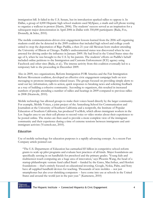immigration bill. It failed in the U.S. Senate, but its introduction sparked rallies to oppose it. In Dallas, a group of 4,000 Hispanic high school students used MySpace, e-mails and cell phone texting to organize a walkout in protest (Harris, 2006). The students' success served as an inspiration for a subsequent major demonstration in April 2006 in Dallas with 350,000 participants (Bada, Fox, Donnelly, & Selee, 2010).

The mobile communications-driven civic engagement lessons learned from the 2006 self-organizing students could also be detected in the 2009 coalition that included high school and college youth united to stop the deportation of Rigo Padilla, a then 21-year old Mexican-born student attending the University of Illinois at Chicago. Padilla's undocumented status was discovered when he was arrested for driving under the influence in January 2009. He had lived in the United States since the age of 6, when he was brought to the U.S. by his parents. The students' efforts on Padilla's behalf included online petitions to the Immigration and Customs Enforcement (ICE) agency using Facebook and other sites (Bada, et al.). The intense activity from this coalition eventually led to a temporary halt to the proceeding in December 2009.

Also in 2009, two organizations, Reform Immigration FOR America and the Fair Immigration Reform Movement coalition, developed an effective civic engagement campaign built on textmessaging to promote immigration related issues. The groups focused on providing simple alerts to send out key information, calls to action, quick responses to breaking news and soliciting feedback as a way of building a cohesive community. According to organizers, this resulted in increased numbers of people attending a number of rallies and hearings in 2009 compared to previous rallies in 2008 (Heatwole, 2010).

Mobile technology has allowed groups to make their voices heard directly by the larger community. For example, Mobile Voices, a joint project of the Annenberg School for Communication and Journalism at the University of Southern California and a nonprofit, the Institute of Popular Education of Southern California, has produced VozMob, which allows immigrant workers in the Los Angeles area to use their cell phones to record voice or video stories about their experiences to be posted online. The stories are then used to provide a more complete view of the immigrant community and their experience during a time of extreme tensions between immigrants and antiimmigrant activists (Vozmob.net, 2010).

#### *Education*

Use of mobile technology for education purposes is a rapidly advancing concept. As a recent Fast Company article pointed out:

―The U.S. Department of Education has earmarked \$5 billion in competitive school-reform grants to scale up pilot programs and evaluate best practices of all kinds. Major foundations are specifically zeroing in on handhelds for preschool and the primary grades. Young kids and multisensor-touch computing are a huge area of innovation,' says Phoenix Wang, the head of a startup philanthropic venture fund called Startl -- funded by the Gates, MacArthur, and Hewlett foundations -- that's entirely focused on educational investing. Google, Nokia, Palm, and Sony have all supplied handheld devices for teaching. Thousands of new mobiles -- not just smartphones but also ever-shrinking computers -- have come into use at schools in the United States and around the world just in the past year." (Kamenetz, 2010)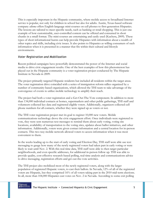This is especially important in the Hispanic community, where mobile access to broadband Internet service is popular, not only for children in school but also for adults. Austin, Texas-based software company *edioma* offers English-language mini-courses on cell phones to first-generation Hispanics. The lessons are tailored to meet specific needs, such as banking or retail shopping. This is just one example of how customizable, user-controlled content can be offered and consumed in short chunks in a small format. The mini-courses are entertaining and easily used (Kuchera, 2009). These types of short informational bursts can help provide Hispanics with information about a wealth of other topics and skills, including civic issues. It also points to Hispanics as willing consumers of such information when it is presented in a manner that fits within their cultural and lifestyle environments.

#### *Voter Registration and Mobilization*

Recent political campaigns have powerfully demonstrated the power of the Internet and social media to drive civic engagement results. One of the best examples of how this phenomenon has played out in the Hispanic community is a voter registration project conducted by The Hispanic Institute in Nevada in 2009:

The project primarily targeted Hispanic residents but included all residents within the target areas. The voter registration drive coincided with a series of immigration reform rallies organized by a number of community-based organizations, which allowed the THI team to take advantage of the convergence of events to utilize mobile technology to amplify their reach.

The project had both a voter registration and a Get-Out-The-Vote component. In addition to more than 134,000 individual contacts at homes, supermarkets and other public gatherings, THI staff and volunteers collected key data and registered eligible voters. Additionally, organizers collected cell phone numbers for all contacts, whether they were signed up as voters or not.

The THI voter registration project met its goal to register 10,000 new voters. Mobile communications technology drove the civic engagement effort. Once individuals were registered to vote, they were sent numerous text messages to remind them about early voting, voting site locations, availability of transportation to the voting sites, updates about ballot initiatives, and other information. Additionally, voters were given contact information and a central location for in-person contacts. This two-way mobile network allowed voters to access information when it was most convenient to them.

In the weeks leading up to the start of early voting and Election Day, THI staff were able use text messaging to gauge how many of the newly registered voters had taken part in early voting or were likely to wait until Nov. 2. With this real-time data, THI staff were able to then target particular neighborhoods, and even specific addresses, for additional in-person follow up. THI was able to provide quality, cost-effective research-based polling, real-time analysis and communications advice to drive messaging, registration efforts and get-out-the-vote activities.

The THI project also mobilized most of the newly registered voters, along with the larger population of registered Hispanic voters, to cast their ballots. In Nevada, 12% of all of the registered voters are Hispanic, but they comprised 16% of all voters taking part in the 2010 mid-term elections. In all, more than 104,000 Hispanics cast votes on Nov. 2 in Nevada. According to some exit polling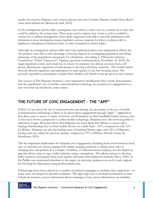results, the massive Hispanic voter turnout played a key role in Senate Majority Leader Harry Reid's come from behind win (Berzon & Audi, 2010).

At the immigration reform rallies, participants were asked to send a text to a central site so that they could be added to the contact lists. These were used to register new voters as well as establish a contact list to address immigration issues. Rally organizers were able to provide participants with information about immigration issues, legislative actions, requests for letters or phone calls to legislators, immigration related activities or other immigration related topics.

Although the immigration reform rallies and voter registration drive were independent efforts, the two projects were able to take advantage of having targeted an overlapping population and taking advantage of the population's propensity for cell phones. According to THI project director Cuauhtemoc "Temo" Figueroa (C. Figueroa, personal communication, November 18, 2010), the target population rarely used email due to a lack of computers, but almost everyone had a cell phone, allowing the organizers of both groups to develop cell phone networks. This mobile-based network allowed organizers and participants to react quickly to any late-breaking issues. The network expanded as participants included their families and friends in the group texts and contacts.

The success of The Hispanic Institute's voter registration/mobilization drive clearly demonstrates that the population's use of mobile communications technology has pushed civic engagement to a new level that can benefit the entire nation.

### **THE FUTURE OF CIVIC ENGAGEMENT – THE "APP"**

If Web 2.0 was about the rise of social networks and sharing, the next phase in the use of mobile communications technology is likely to be about direct engagement through "apps" – applications that allow users to access a variety of services or information on their handheld wireless devices. Just as they have shown a propensity to utilize mobile technology, Hispanics have also moved quickly to utilization of apps. Research shows that Hispanics are more likely than Whites to access video sharing/downloading sites on their mobile devices on a daily basis – 24%, compared to only 12% for Whites. Hispanics are also the leading users of banking/finance apps, with 32% of Hispanics having used one within the previous month, compared to 27% of Whites (Purcell, Entner & Henderson, 2010).

This has important implications for Hispanic civic engagement, including more involvement in local, state or national civic issues, ranging from simply keeping informed to taking active roles in changing laws and policies. For example, Verafirma, a California-based company, has developed an app that allows users to sign a ballot initiative using a smartphone. This allows citizens to develop ballot initiatives and spread them more quickly and easily than traditional methods (Davy, 2010). In the Padilla case mentioned elsewhere in this paper, an electronic petition was used to seek support for blocking his deportation using petitiononline.com.

Political apps have been utilized by a number of political campaigns to mobilize their supporters – in many cases, developed for specific candidates. The apps help users to forward information to their cell phone contacts, receive information about campaign events, access information on candidate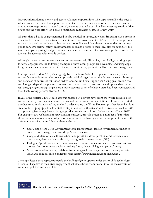issue positions, donate money and access volunteer opportunities. The apps streamline the ways in which candidates connect to supporters, volunteers, donors, media and others. They also can be used to encourage voters to attend campaign events or to take part in rallies, voter registration drives or get-out-the-vote efforts on behalf of particular candidates or issues (Davy, 2010)

All apps that aid civic engagement need not be political in nature, however. Smart apps also promote other kinds of interactions between residents and local government. CitySourced, for example, is a service that provides residents with an easy to use online tool that allows them to identify and report public concerns (crime, safety, environmental or quality of life) to their local city for action. At the same time, participating local governments can receive real-time information on problem areas. The tool can be accessed with mobile devices.

Although there are no concrete data yet on how extensively Hispanics, specifically, are using apps for civic engagement, the following examples of how other groups are developing and using apps for general civic engagement point to the opportunities they present for Hispanic civic engagement.

One app developed in 2010, *Walking Edge* by Republican Web Development, has already been successfully used in recent elections to provide political organizers and volunteers a smartphone app and database of addresses for undecided voters and candidate-supporters. Using geo-location tools and Google Maps, the app allowed organizers to reach out to those voters and update data files in real time, giving campaign organizers a more accurate count of which voters had been contacted and their likely voting patterns (Davy, 2010).

In 2010, the official White House app was released. It delivers news from the White House's blog and newsroom, featuring videos and photos and live video streaming of White House events. With the Obama administration taking the lead by developing the White House app, other federal entities are also developing apps to allow staff to stay in contact with citizens and to create outreach efforts on upcoming issues, regulatory changes, product recalls and a host of other matters (Davy, 2010). For example, two websites, apps.gov and apps.usa.gov, provide access to a number of apps that allow users to access a number of government services. Following are four examples of many of the different types of apps available on these websites:

- UserVoice offers a free Government Civic Engagement Plan for government agencies to create citizen engagement sites (http://uservoice.com/).
- Google Moderator lets citizens submit and prioritize ideas, questions and feedback in a transparent, democratic way (http://www.google.com/moderator/#0).
- Dialogue App allows users to crowd-source ideas and policies online and to share, rate and discuss ideas to improve decision-making (http://www.dialogue-app.com/info/).
- MixedInk is a democratic, collaborative writing tool that lets groups of all sizes put their ideas and opinions into a collective text (http://www.mixedink.com/main.php).

The apps listed above represent merely the leading edge of opportunities that mobile technology offers to Hispanics as their civic engagement activities thrust them deeper into the mainstream of American political and social life.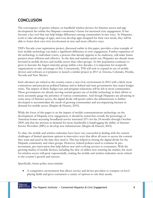# **CONCLUSION**

The convergence of greater reliance on handheld wireless devices for Internet access and app development fits within the Hispanic community's future for increased civic engagement. It has become a key tool that can help bridge differences among communities in new ways. As Hispanics work to take advantage of apps, and even develop apps designed for their own needs, they will be able to foster their own civic involvement in new and more effective ways.

THI's Nevada voter registration project, discussed earlier in this paper, provides a clear example of how mobile technology can make a significant difference in civic engagement. Further expansion of the technology to individual voters, a process that already appears to be underway, will make future projects more efficient and effective. As the data and statistics point out, Hispanics are already more invested in mobile devices and mobile access than other groups. As this population continues to grow to become the largest minority group within a few decades, it is important for nonprofit organizations to take advantage of this. Concurrently, THI will seek to expand its use of mobile devices and software as it prepares to launch a similar project in 2011 in Arizona, Colorado, Florida, Nevada and New Mexico.

Such advances are critical as the country enters a new civic environment in 2012 with a likely more contentious and precarious political balance and as federal and state governments face major budget crises. The impact of likely budget cuts and program reductions will be felt in more communities. These governments are already moving toward greater use of mobile technology in their efforts to more accurately gauge the priorities of various communities. And though Hispanics are advancing in some areas of Internet access, the digital divide will persist unless the infrastructure is further developed to accommodate the needs of growing communities and accompanying increase in demand for mobile access (Shapiro & Hassett, 2010).

While the focus of this paper is on the impact of mobile communications technology on the development of Hispanic civic engagement, it should be noted that overall, the percentage of American homes accessing broadband service increased 25% for the 24 months through October 2009, and that the increase in demand for more bandwidth is leapfrogging the ability of Internet Service Providers (ISPs) to develop new infrastructure (Shapiro & Hassett, 2010).

To date, the mobile and wireless industries have been very successful in dealing with the current challenges of limited spectrum options in innovative ways that allow all users to access the content they want and need at the time they need it. This has helped in closing the digital divide for the Hispanic community and other groups. However, federal policies need to continue be proinvestment, pro-innovation that help deliver new and evolving services to consumers. With the growing market of mobile devices, including the slew of tablets now entering the market, the need for wireless access will grow exponentially, making the mobile and wireless industries more critical to the country's growth and success.

Specifically, future policy must include:

 A competitive environment that allows service and device providers to compete on level playing fields and gives consumers a variety of options to suit their needs;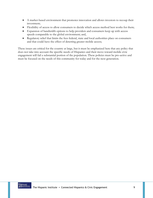- A market-based environment that promotes innovation and allows investors to recoup their investment;
- Flexibility of access to allow consumers to decide which access method best works for them;
- Expansion of bandwidth options to help providers and consumers keep up with access speeds comparable to the global environment; and,
- Regulatory relief that limits the fees federal, state and local authorities place on consumers and that could have the effect of deterring greater mobile access;

These issues are critical for the country at large, but it must be emphasized here that any policy that does not take into account the specific needs of Hispanics and their move toward mobile civic engagement will fail a substantial portion of the population. These policies must be pro-active and must be focused on the needs of this community for today and for the next generation.